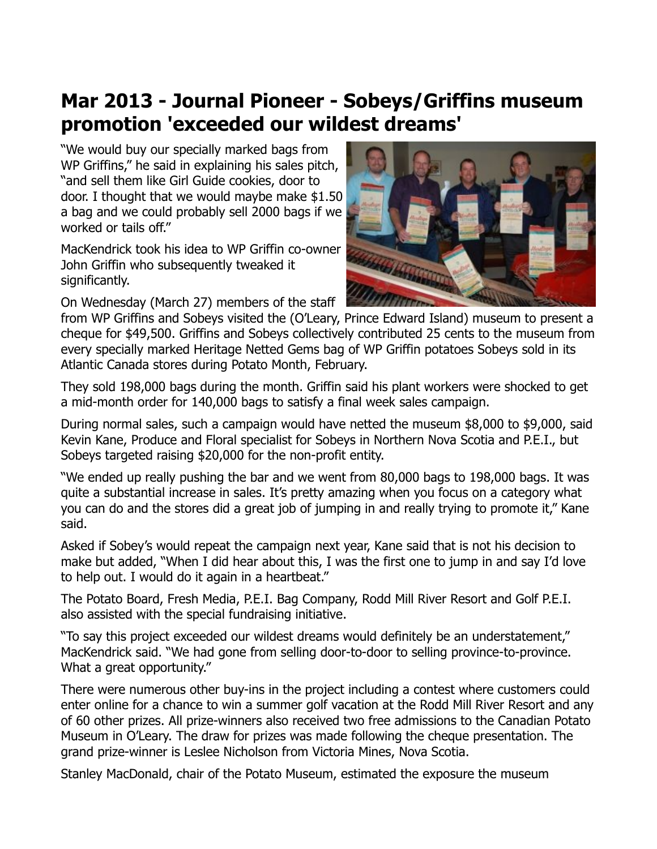## **Mar 2013 - Journal Pioneer - Sobeys/Griffins museum promotion 'exceeded our wildest dreams'**

"We would buy our specially marked bags from WP Griffins," he said in explaining his sales pitch, "and sell them like Girl Guide cookies, door to door. I thought that we would maybe make \$1.50 a bag and we could probably sell 2000 bags if we worked or tails off."

MacKendrick took his idea to WP Griffin co-owner John Griffin who subsequently tweaked it significantly.

On Wednesday (March 27) members of the staff



from WP Griffins and Sobeys visited the (O'Leary, Prince Edward Island) museum to present a cheque for \$49,500. Griffins and Sobeys collectively contributed 25 cents to the museum from every specially marked Heritage Netted Gems bag of WP Griffin potatoes Sobeys sold in its Atlantic Canada stores during Potato Month, February.

They sold 198,000 bags during the month. Griffin said his plant workers were shocked to get a mid-month order for 140,000 bags to satisfy a final week sales campaign.

During normal sales, such a campaign would have netted the museum \$8,000 to \$9,000, said Kevin Kane, Produce and Floral specialist for Sobeys in Northern Nova Scotia and P.E.I., but Sobeys targeted raising \$20,000 for the non-profit entity.

"We ended up really pushing the bar and we went from 80,000 bags to 198,000 bags. It was quite a substantial increase in sales. It's pretty amazing when you focus on a category what you can do and the stores did a great job of jumping in and really trying to promote it," Kane said.

Asked if Sobey's would repeat the campaign next year, Kane said that is not his decision to make but added, "When I did hear about this, I was the first one to jump in and say I'd love to help out. I would do it again in a heartbeat."

The Potato Board, Fresh Media, P.E.I. Bag Company, Rodd Mill River Resort and Golf P.E.I. also assisted with the special fundraising initiative.

"To say this project exceeded our wildest dreams would definitely be an understatement," MacKendrick said. "We had gone from selling door-to-door to selling province-to-province. What a great opportunity."

There were numerous other buy-ins in the project including a contest where customers could enter online for a chance to win a summer golf vacation at the Rodd Mill River Resort and any of 60 other prizes. All prize-winners also received two free admissions to the Canadian Potato Museum in O'Leary. The draw for prizes was made following the cheque presentation. The grand prize-winner is Leslee Nicholson from Victoria Mines, Nova Scotia.

Stanley MacDonald, chair of the Potato Museum, estimated the exposure the museum